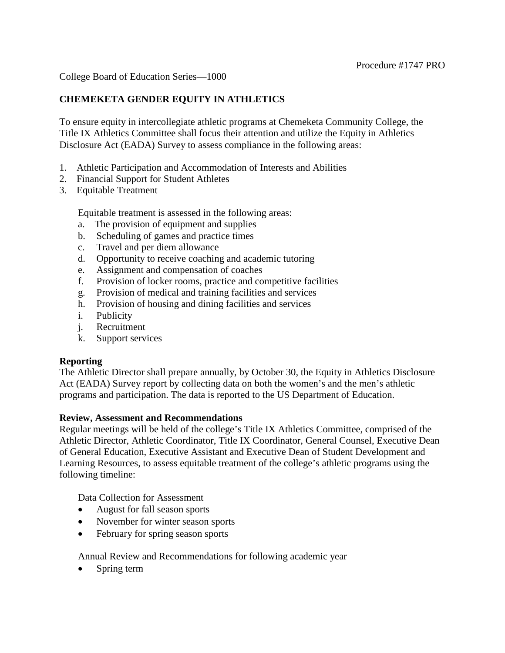College Board of Education Series—1000

## **CHEMEKETA GENDER EQUITY IN ATHLETICS**

To ensure equity in intercollegiate athletic programs at Chemeketa Community College, the Title IX Athletics Committee shall focus their attention and utilize the Equity in Athletics Disclosure Act (EADA) Survey to assess compliance in the following areas:

- 1. Athletic Participation and Accommodation of Interests and Abilities
- 2. Financial Support for Student Athletes
- 3. Equitable Treatment

Equitable treatment is assessed in the following areas:

- a. The provision of equipment and supplies
- b. Scheduling of games and practice times
- c. Travel and per diem allowance
- d. Opportunity to receive coaching and academic tutoring
- e. Assignment and compensation of coaches
- f. Provision of locker rooms, practice and competitive facilities
- g. Provision of medical and training facilities and services
- h. Provision of housing and dining facilities and services
- i. Publicity
- j. Recruitment
- k. Support services

#### **Reporting**

The Athletic Director shall prepare annually, by October 30, the Equity in Athletics Disclosure Act (EADA) Survey report by collecting data on both the women's and the men's athletic programs and participation. The data is reported to the US Department of Education.

#### **Review, Assessment and Recommendations**

Regular meetings will be held of the college's Title IX Athletics Committee, comprised of the Athletic Director, Athletic Coordinator, Title IX Coordinator, General Counsel, Executive Dean of General Education, Executive Assistant and Executive Dean of Student Development and Learning Resources, to assess equitable treatment of the college's athletic programs using the following timeline:

Data Collection for Assessment

- August for fall season sports
- November for winter season sports
- February for spring season sports

Annual Review and Recommendations for following academic year

Spring term